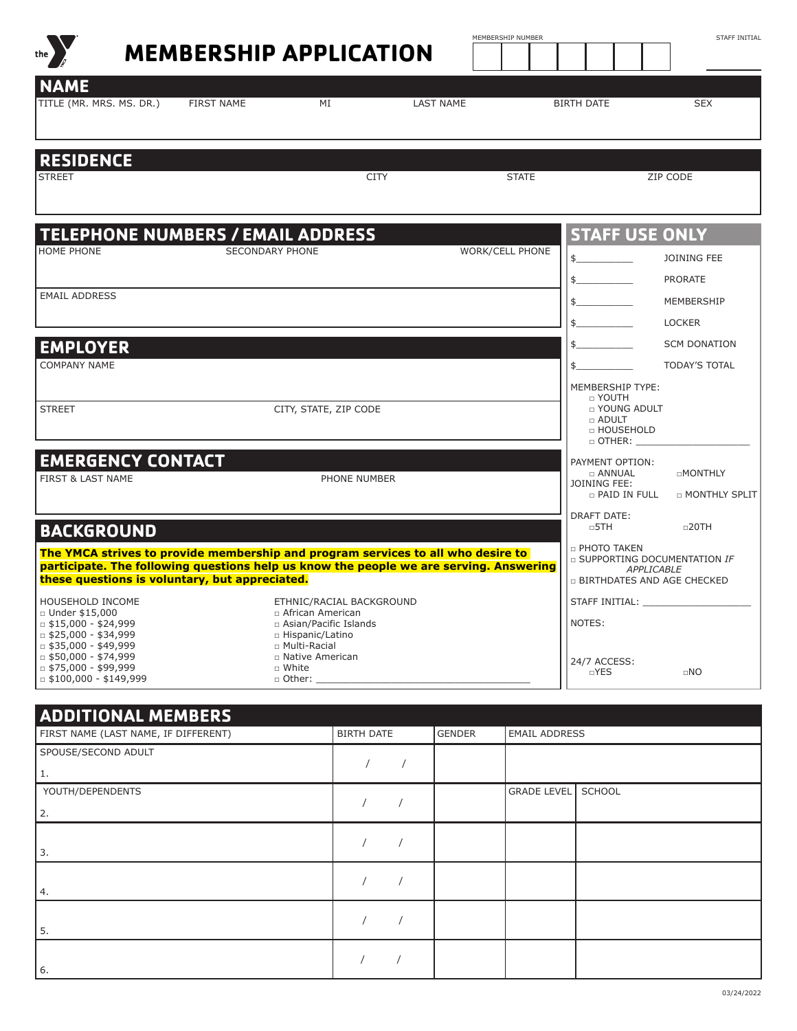|                                                                                                                                                                                                                                                   | <b>MEMBERSHIP APPLICATION</b> |                                                                                                                                                                          |                  | MEMBERSHIP NUMBER      |                                                                                                           | STAFF INITIAL                               |
|---------------------------------------------------------------------------------------------------------------------------------------------------------------------------------------------------------------------------------------------------|-------------------------------|--------------------------------------------------------------------------------------------------------------------------------------------------------------------------|------------------|------------------------|-----------------------------------------------------------------------------------------------------------|---------------------------------------------|
| <b>NAME</b><br>TITLE (MR. MRS. MS. DR.)                                                                                                                                                                                                           | <b>FIRST NAME</b>             | MI                                                                                                                                                                       | <b>LAST NAME</b> |                        | <b>BIRTH DATE</b>                                                                                         | <b>SEX</b>                                  |
| <b>RESIDENCE</b><br><b>STREET</b>                                                                                                                                                                                                                 |                               |                                                                                                                                                                          | <b>CITY</b>      | <b>STATE</b>           |                                                                                                           | ZIP CODE                                    |
| <b>TELEPHONE NUMBERS / EMAIL ADDRESS</b><br>HOME PHONE                                                                                                                                                                                            | <b>SECONDARY PHONE</b>        |                                                                                                                                                                          |                  | <b>WORK/CELL PHONE</b> | <b>STAFF USE ONLY</b><br>$\frac{1}{2}$<br>$\frac{1}{2}$                                                   | <b>JOINING FEE</b><br><b>PRORATE</b>        |
| <b>EMAIL ADDRESS</b>                                                                                                                                                                                                                              |                               |                                                                                                                                                                          |                  |                        | $\mathsf{\$}$                                                                                             | MEMBERSHIP<br><b>LOCKER</b>                 |
| <b>EMPLOYER</b><br><b>COMPANY NAME</b>                                                                                                                                                                                                            |                               |                                                                                                                                                                          |                  |                        | $\frac{1}{2}$<br>MEMBERSHIP TYPE:<br>$\Box$ YOUTH                                                         | <b>SCM DONATION</b><br><b>TODAY'S TOTAL</b> |
| <b>STREET</b>                                                                                                                                                                                                                                     |                               | CITY, STATE, ZIP CODE                                                                                                                                                    |                  |                        | <b>DI YOUNG ADULT</b><br>□ ADULT<br>□ HOUSEHOLD<br>$\Box$ OTHER: $\Box$                                   |                                             |
| <b>EMERGENCY CONTACT</b><br><b>FIRST &amp; LAST NAME</b>                                                                                                                                                                                          |                               | PHONE NUMBER                                                                                                                                                             |                  |                        | PAYMENT OPTION:<br>$\Box$ ANNUAL<br>JOINING FEE:<br>$\Box$ PAID IN FULL<br><b>DRAFT DATE:</b>             | <b>DMONTHLY</b><br><b>D MONTHLY SPLIT</b>   |
| <b>BACKGROUND</b><br>The YMCA strives to provide membership and program services to all who desire to<br>participate. The following questions help us know the people we are serving. Answering<br>these questions is voluntary, but appreciated. |                               |                                                                                                                                                                          |                  |                        | $\n  5TH$<br>D PHOTO TAKEN<br>□ SUPPORTING DOCUMENTATION IF<br>APPLICABLE<br>D BIRTHDATES AND AGE CHECKED | $\Box$ 20TH                                 |
| HOUSEHOLD INCOME<br>□ Under \$15,000<br>$\Box$ \$15,000 - \$24,999<br>$\Box$ \$25,000 - \$34,999<br>$\Box$ \$35,000 - \$49,999<br>$\Box$ \$50,000 - \$74,999<br>$\Box$ \$75,000 - \$99,999<br>$\Box$ \$100,000 - \$149,999                        |                               | ETHNIC/RACIAL BACKGROUND<br>□ African American<br>□ Asian/Pacific Islands<br>□ Hispanic/Latino<br>□ Multi-Racial<br>□ Native American<br>□ White<br>$\Box$ Other: $\Box$ |                  |                        | NOTES:<br>24/7 ACCESS:<br>$\neg$ YES                                                                      | $\Box NO$                                   |

| <b>ADDITIONAL MEMBERS</b>            |                   |               |                                     |  |  |  |
|--------------------------------------|-------------------|---------------|-------------------------------------|--|--|--|
| FIRST NAME (LAST NAME, IF DIFFERENT) | <b>BIRTH DATE</b> | <b>GENDER</b> | <b>EMAIL ADDRESS</b>                |  |  |  |
| SPOUSE/SECOND ADULT                  |                   |               |                                     |  |  |  |
| 1.                                   |                   |               |                                     |  |  |  |
| YOUTH/DEPENDENTS                     |                   |               | <b>GRADE LEVEL</b><br><b>SCHOOL</b> |  |  |  |
| 2.                                   |                   |               |                                     |  |  |  |
|                                      |                   |               |                                     |  |  |  |
| 3.                                   |                   |               |                                     |  |  |  |
|                                      |                   |               |                                     |  |  |  |
| 4.                                   |                   |               |                                     |  |  |  |
|                                      |                   |               |                                     |  |  |  |
| 5.                                   |                   |               |                                     |  |  |  |
|                                      |                   |               |                                     |  |  |  |
| 6.                                   |                   |               |                                     |  |  |  |